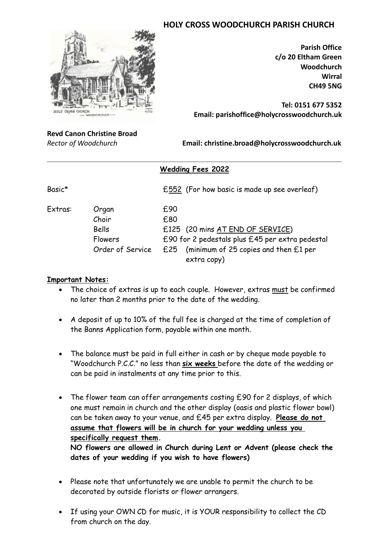## **HOLY CROSS WOODCHURCH PARISH CHURCH**



**Parish Office c/o 20 Eltham Green Woodchurch Wirral CH49 5NG**

**Tel: 0151 677 5352 Email: parishoffice@holycrosswoodchurch.uk**

## **Revd Canon Christine Broad**

*Rector of Woodchurch* **Email: christine.broad@holycrosswoodchurch.uk**

|                    |                                                               | <b>Wedding Fees 2022</b>                                                                                                                                      |
|--------------------|---------------------------------------------------------------|---------------------------------------------------------------------------------------------------------------------------------------------------------------|
| Basic <sup>*</sup> |                                                               | £552 (For how basic is made up see overleaf)                                                                                                                  |
| Extras:            | Organ<br>Choir<br>Bells<br><b>Flowers</b><br>Order of Service | £90<br>£80<br>£125 (20 mins AT END OF SERVICE)<br>£90 for 2 pedestals plus £45 per extra pedestal<br>£25 (minimum of 25 copies and then £1 per<br>extra copy) |

## **Important Notes:**

- The choice of extras is up to each couple. However, extras must be confirmed no later than 2 months prior to the date of the wedding.
- A deposit of up to 10% of the full fee is charged at the time of completion of the Banns Application form, payable within one month.
- The balance must be paid in full either in cash or by cheque made payable to "Woodchurch P.C.C." no less than **six weeks** before the date of the wedding or can be paid in instalments at any time prior to this.
- The flower team can offer arrangements costing £90 for 2 displays, of which one must remain in church and the other display (oasis and plastic flower bowl) can be taken away to your venue, and £45 per extra display. **Please do not assume that flowers will be in church for your wedding unless you specifically request them.**

**NO flowers are allowed in Church during Lent or Advent (please check the dates of your wedding if you wish to have flowers)**

- Please note that unfortunately we are unable to permit the church to be decorated by outside florists or flower arrangers.
- If using your OWN CD for music, it is YOUR responsibility to collect the CD from church on the day.